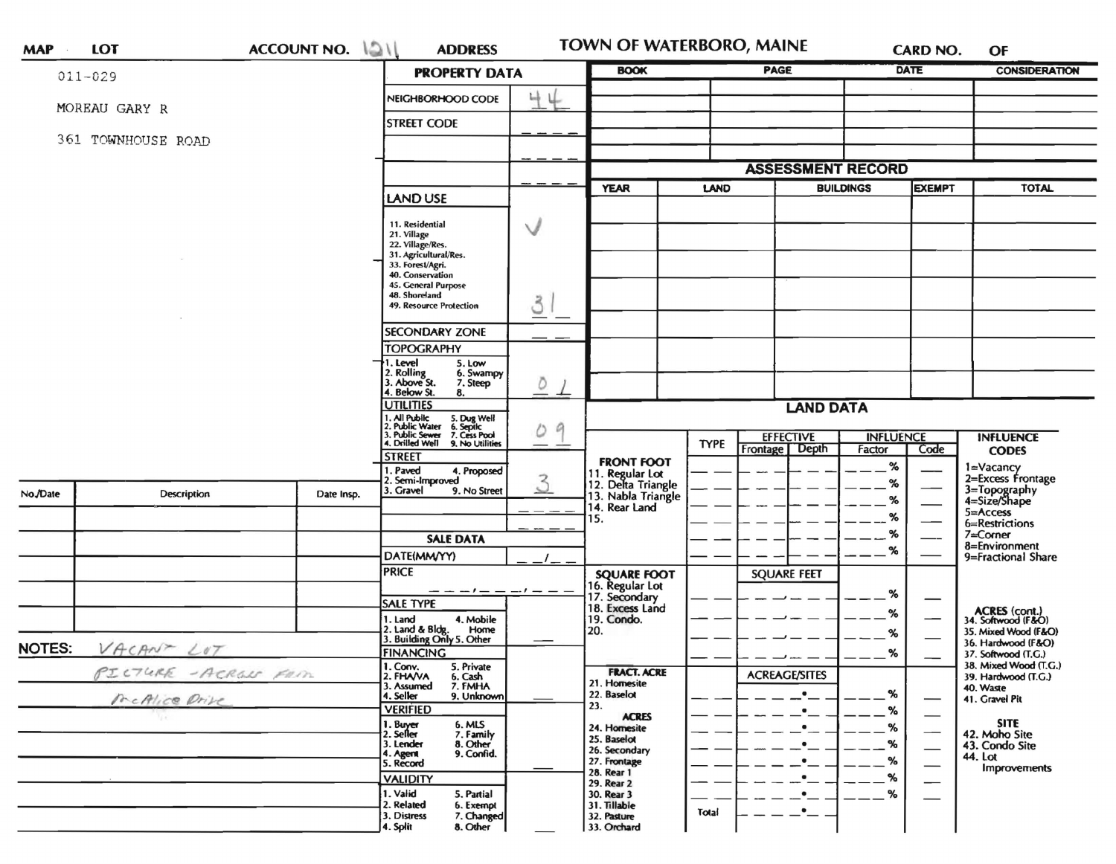| <b>MAP</b>                             | <b>LOT</b>         | ACCOUNT NO. IQI | <b>ADDRESS</b>                                                                                                    |             |                                                                                                   | TOWN OF WATERBORO, MAINE                                                                   | CARD NO.                                     | OF                                                        |  |
|----------------------------------------|--------------------|-----------------|-------------------------------------------------------------------------------------------------------------------|-------------|---------------------------------------------------------------------------------------------------|--------------------------------------------------------------------------------------------|----------------------------------------------|-----------------------------------------------------------|--|
|                                        | $011 - 029$        |                 | <b>PROPERTY DATA</b>                                                                                              | <b>BOOK</b> |                                                                                                   | <b>PAGE</b>                                                                                | <b>DATE</b>                                  | <b>CONSIDERATION</b>                                      |  |
|                                        |                    |                 | NEIGHBORHOOD CODE                                                                                                 | 4           |                                                                                                   |                                                                                            |                                              |                                                           |  |
|                                        | MOREAU GARY R      |                 | <b>STREET CODE</b>                                                                                                |             |                                                                                                   |                                                                                            |                                              |                                                           |  |
| 361 TOWNHOUSE ROAD                     |                    |                 |                                                                                                                   |             |                                                                                                   |                                                                                            |                                              |                                                           |  |
|                                        |                    |                 |                                                                                                                   |             | <b>ASSESSMENT RECORD</b>                                                                          |                                                                                            |                                              |                                                           |  |
|                                        |                    |                 | <b>LAND USE</b>                                                                                                   |             | <b>YEAR</b><br>LAND                                                                               |                                                                                            | <b>BUILDINGS</b><br><b>EXEMPT</b>            | <b>TOTAL</b>                                              |  |
|                                        |                    |                 | 11. Residential<br>21. Village<br>22. Village/Res.<br>31. Agricultural/Res.                                       | $\vee$<br>3 |                                                                                                   |                                                                                            |                                              |                                                           |  |
|                                        |                    |                 | 33. Forest/Agri.<br>40. Conservation<br>45. General Purpose<br>48. Shoreland<br>49. Resource Protection           |             |                                                                                                   |                                                                                            |                                              |                                                           |  |
|                                        |                    |                 | <b>SECONDARY ZONE</b>                                                                                             |             |                                                                                                   |                                                                                            |                                              |                                                           |  |
|                                        |                    |                 | <b>TOPOGRAPHY</b>                                                                                                 |             |                                                                                                   |                                                                                            |                                              |                                                           |  |
|                                        |                    |                 | 1. Level<br>5. Low<br>2. Rolling<br>3. Above St.<br>6. Swampy<br>7. Steep<br>4. Below St.<br>8.                   | Ō<br>$-1$   |                                                                                                   |                                                                                            |                                              |                                                           |  |
|                                        |                    |                 | <b>UTILITIES</b>                                                                                                  |             | <b>LAND DATA</b>                                                                                  |                                                                                            |                                              |                                                           |  |
|                                        |                    |                 | All Public 5. Dug Well<br>Public Water 6. Septic<br>Public Sewer 7. Cess Pool.<br>4. Drilled Well 9. No Utilities | 9           |                                                                                                   | <b>EFFECTIVE</b><br><b>INFLUENCE</b><br><b>TYPE</b><br>Depth<br>Frontage<br>Factor<br>Code |                                              | <b>INFLUENCE</b><br><b>CODES</b>                          |  |
|                                        |                    |                 | <b>STREET</b><br>. Paved<br>4. Proposed<br>Semi-Improved<br>3. Gravel<br>9. No Street                             | 3           | <b>FRONT FOOT</b><br>11. Regular Lot<br>12. Delta Triangle<br>13. Nabla Triangle<br>14. Rear Land |                                                                                            | %<br>℅                                       | 1=Vacancy<br>2=Excess Frontage                            |  |
| No./Date                               | <b>Description</b> | Date Insp.      |                                                                                                                   |             |                                                                                                   |                                                                                            | ℅                                            | 3=Topography<br>4=Size/Shape<br>5=Access                  |  |
|                                        |                    |                 |                                                                                                                   |             | 15.                                                                                               |                                                                                            | %<br>%                                       | 6=Restrictions<br>$7 =$ Corner                            |  |
|                                        |                    |                 | <b>SALE DATA</b><br>DATE(MM/YY)                                                                                   |             |                                                                                                   |                                                                                            | %                                            | 8=Environment<br>9=Fractional Share                       |  |
|                                        |                    |                 | <b>PRICE</b>                                                                                                      |             |                                                                                                   | <b>SQUARE FEET</b>                                                                         |                                              |                                                           |  |
|                                        |                    |                 | <b>SALE TYPE</b>                                                                                                  | --------    | <b>SQUARE FOOT</b><br>16. Regular Lot<br>17. Secondary                                            |                                                                                            | %<br>$\overbrace{\phantom{13333}}$           |                                                           |  |
|                                        |                    |                 | 1. Land<br>4. Mobile<br>2. Land & Bldg.                                                                           |             | 18. Excess Land<br>19. Condo.                                                                     |                                                                                            | %                                            | ACRES (cont.)<br>34. Softwood (F&O)                       |  |
| <b>NOTES:</b><br>VACANT LOT            |                    |                 | Home<br>3. Building Only 5. Other                                                                                 |             | 20.                                                                                               |                                                                                            | %                                            | 35. Mixed Wood (F&O)<br>36. Hardwood (F&O)                |  |
|                                        |                    |                 | <b>FINANCING</b><br>1. Conv.<br>5. Private                                                                        |             | <b>FRACT. ACRE</b>                                                                                |                                                                                            | %                                            | 37. Softwood (T.G.)<br>38. Mixed Wood (T.G.)              |  |
| PICTURE - ACROSS FRIM<br>McAlice Drive |                    |                 | 2. FHAVA<br>6. Cash<br>3. Assumed<br>7. FMHA<br>4. Seller<br>9. Unknown                                           |             | 21. Homesite<br>22. Baselot                                                                       | <b>ACREAGE/SITES</b>                                                                       | %                                            | 39. Hardwood (T.G.)<br>40. Waste                          |  |
|                                        |                    |                 | <b>VERIFIED</b>                                                                                                   |             | 23.<br><b>ACRES</b>                                                                               |                                                                                            | %<br>$\hspace{0.1cm}$                        | 41. Gravel Pit                                            |  |
|                                        |                    |                 | 1. Buyer<br>2. Seller<br>6. MLS<br>7. Family<br>8. Other<br>3. Lender<br>9. Confid.<br>4. Agent<br>5. Record      |             | 24. Homesite<br>25. Baselot<br>26. Secondary<br>27. Frontage                                      | $\bullet$                                                                                  | %<br>$\overbrace{\phantom{13333}}$<br>%<br>℅ | <b>SITE</b><br>42. Moho Site<br>43. Condo Site<br>44. Lot |  |
|                                        |                    |                 | <b>VALIDITY</b>                                                                                                   |             | 28. Rear 1<br>29. Rear 2                                                                          | $\bullet$                                                                                  | $\overbrace{\phantom{13333}}$<br>%           | <b>Improvements</b>                                       |  |
|                                        |                    |                 | 1. Valid<br>5. Partial<br>2. Related<br>6. Exempt<br>3. Distress<br>7. Changed<br>4. Split<br>8. Other            |             | 30. Rear 3<br>31. Tillable<br>32. Pasture<br>33. Orchard                                          | $\bullet$<br>$\bullet$<br>Total                                                            | %                                            |                                                           |  |